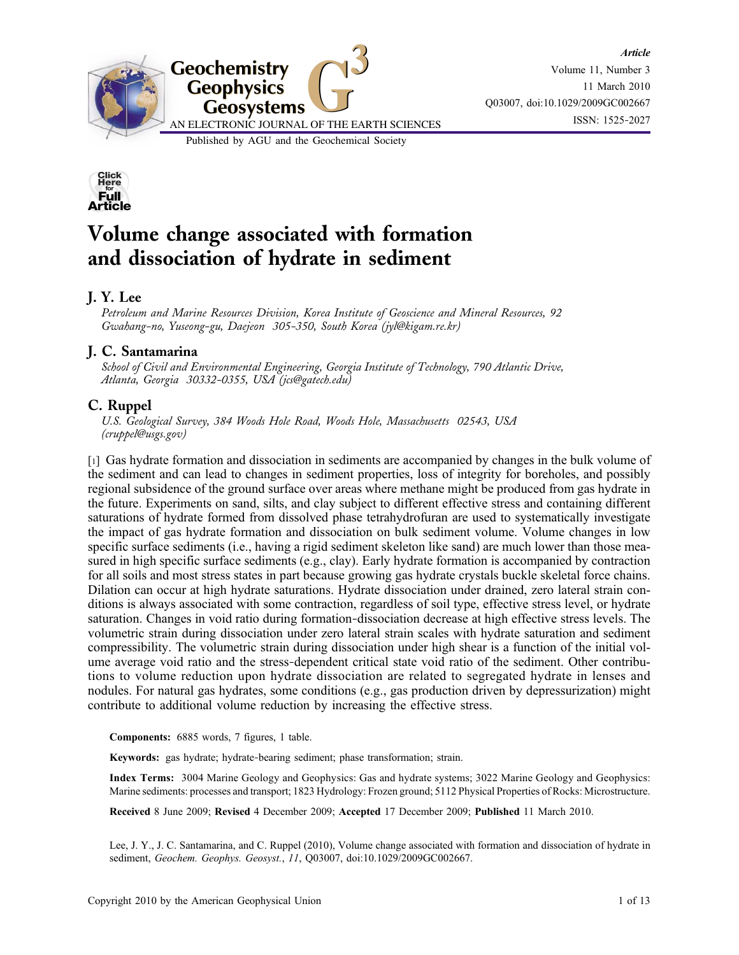



# Volume change associated with formation and dissociation of hydrate in sediment

# J. Y. Lee

Petroleum and Marine Resources Division, Korea Institute of Geoscience and Mineral Resources, 92 Gwahang‐no, Yuseong‐gu, Daejeon 305‐350, South Korea (jyl@kigam.re.kr)

## J. C. Santamarina

School of Civil and Environmental Engineering, Georgia Institute of Technology, 790 Atlantic Drive, Atlanta, Georgia 30332‐0355, USA (jcs@gatech.edu)

## C. Ruppel

U.S. Geological Survey, 384 Woods Hole Road, Woods Hole, Massachusetts 02543, USA (cruppel@usgs.gov)

[1] Gas hydrate formation and dissociation in sediments are accompanied by changes in the bulk volume of the sediment and can lead to changes in sediment properties, loss of integrity for boreholes, and possibly regional subsidence of the ground surface over areas where methane might be produced from gas hydrate in the future. Experiments on sand, silts, and clay subject to different effective stress and containing different saturations of hydrate formed from dissolved phase tetrahydrofuran are used to systematically investigate the impact of gas hydrate formation and dissociation on bulk sediment volume. Volume changes in low specific surface sediments (i.e., having a rigid sediment skeleton like sand) are much lower than those measured in high specific surface sediments (e.g., clay). Early hydrate formation is accompanied by contraction for all soils and most stress states in part because growing gas hydrate crystals buckle skeletal force chains. Dilation can occur at high hydrate saturations. Hydrate dissociation under drained, zero lateral strain conditions is always associated with some contraction, regardless of soil type, effective stress level, or hydrate saturation. Changes in void ratio during formation‐dissociation decrease at high effective stress levels. The volumetric strain during dissociation under zero lateral strain scales with hydrate saturation and sediment compressibility. The volumetric strain during dissociation under high shear is a function of the initial volume average void ratio and the stress-dependent critical state void ratio of the sediment. Other contributions to volume reduction upon hydrate dissociation are related to segregated hydrate in lenses and nodules. For natural gas hydrates, some conditions (e.g., gas production driven by depressurization) might contribute to additional volume reduction by increasing the effective stress.

Components: 6885 words, 7 figures, 1 table.

Keywords: gas hydrate; hydrate‐bearing sediment; phase transformation; strain.

Index Terms: 3004 Marine Geology and Geophysics: Gas and hydrate systems; 3022 Marine Geology and Geophysics: Marine sediments: processes and transport; 1823 Hydrology: Frozen ground; 5112 Physical Properties of Rocks: Microstructure.

Received 8 June 2009; Revised 4 December 2009; Accepted 17 December 2009; Published 11 March 2010.

Lee, J. Y., J. C. Santamarina, and C. Ruppel (2010), Volume change associated with formation and dissociation of hydrate in sediment, Geochem. Geophys. Geosyst., 11, Q03007, doi:10.1029/2009GC002667.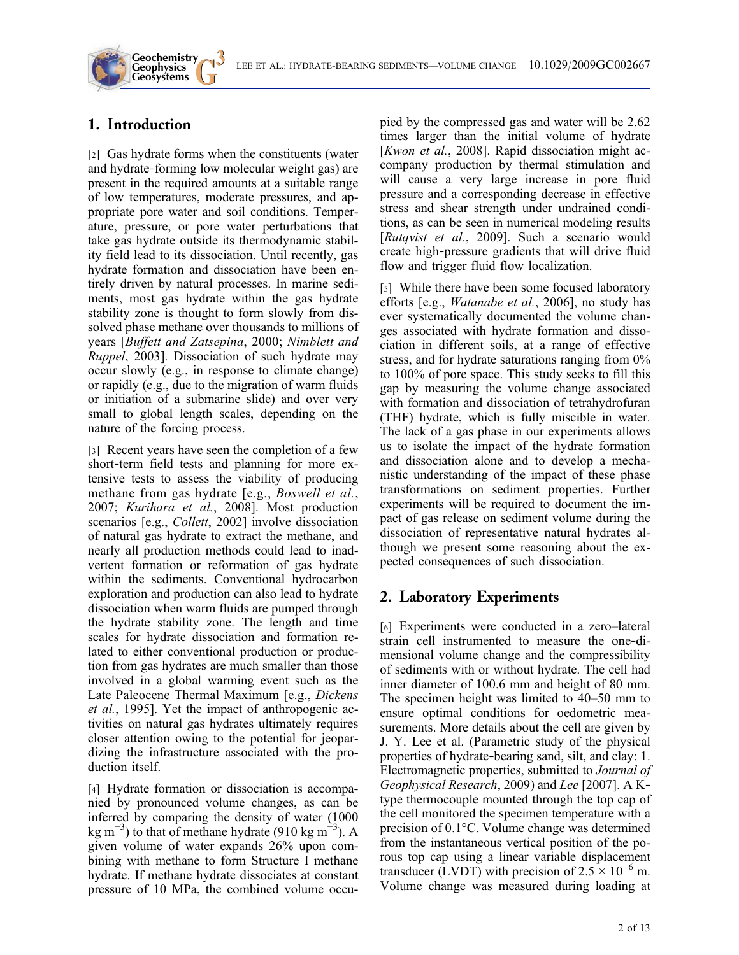## 1. Introduction

**Geochemistry Geophysics**

[2] Gas hydrate forms when the constituents (water and hydrate‐forming low molecular weight gas) are present in the required amounts at a suitable range of low temperatures, moderate pressures, and appropriate pore water and soil conditions. Temperature, pressure, or pore water perturbations that take gas hydrate outside its thermodynamic stability field lead to its dissociation. Until recently, gas hydrate formation and dissociation have been entirely driven by natural processes. In marine sediments, most gas hydrate within the gas hydrate stability zone is thought to form slowly from dissolved phase methane over thousands to millions of years [Buffett and Zatsepina, 2000; Nimblett and Ruppel, 2003]. Dissociation of such hydrate may occur slowly (e.g., in response to climate change) or rapidly (e.g., due to the migration of warm fluids or initiation of a submarine slide) and over very small to global length scales, depending on the nature of the forcing process.

[3] Recent years have seen the completion of a few short-term field tests and planning for more extensive tests to assess the viability of producing methane from gas hydrate [e.g., Boswell et al., 2007; Kurihara et al., 2008]. Most production scenarios [e.g., *Collett*, 2002] involve dissociation of natural gas hydrate to extract the methane, and nearly all production methods could lead to inadvertent formation or reformation of gas hydrate within the sediments. Conventional hydrocarbon exploration and production can also lead to hydrate dissociation when warm fluids are pumped through the hydrate stability zone. The length and time scales for hydrate dissociation and formation related to either conventional production or production from gas hydrates are much smaller than those involved in a global warming event such as the Late Paleocene Thermal Maximum [e.g., Dickens et al., 1995]. Yet the impact of anthropogenic activities on natural gas hydrates ultimately requires closer attention owing to the potential for jeopardizing the infrastructure associated with the production itself.

[4] Hydrate formation or dissociation is accompanied by pronounced volume changes, as can be inferred by comparing the density of water (1000 kg m<sup>-3</sup>) to that of methane hydrate (910 kg m<sup>-3</sup>). A given volume of water expands 26% upon combining with methane to form Structure I methane hydrate. If methane hydrate dissociates at constant pressure of 10 MPa, the combined volume occupied by the compressed gas and water will be 2.62 times larger than the initial volume of hydrate [*Kwon et al.*, 2008]. Rapid dissociation might accompany production by thermal stimulation and will cause a very large increase in pore fluid pressure and a corresponding decrease in effective stress and shear strength under undrained conditions, as can be seen in numerical modeling results [Rutqvist et al., 2009]. Such a scenario would create high‐pressure gradients that will drive fluid flow and trigger fluid flow localization.

[5] While there have been some focused laboratory efforts [e.g., Watanabe et al., 2006], no study has ever systematically documented the volume changes associated with hydrate formation and dissociation in different soils, at a range of effective stress, and for hydrate saturations ranging from 0% to 100% of pore space. This study seeks to fill this gap by measuring the volume change associated with formation and dissociation of tetrahydrofuran (THF) hydrate, which is fully miscible in water. The lack of a gas phase in our experiments allows us to isolate the impact of the hydrate formation and dissociation alone and to develop a mechanistic understanding of the impact of these phase transformations on sediment properties. Further experiments will be required to document the impact of gas release on sediment volume during the dissociation of representative natural hydrates although we present some reasoning about the expected consequences of such dissociation.

## 2. Laboratory Experiments

[6] Experiments were conducted in a zero–lateral strain cell instrumented to measure the one‐dimensional volume change and the compressibility of sediments with or without hydrate. The cell had inner diameter of 100.6 mm and height of 80 mm. The specimen height was limited to 40–50 mm to ensure optimal conditions for oedometric measurements. More details about the cell are given by J. Y. Lee et al. (Parametric study of the physical properties of hydrate‐bearing sand, silt, and clay: 1. Electromagnetic properties, submitted to Journal of Geophysical Research, 2009) and Lee [2007]. A K‐ type thermocouple mounted through the top cap of the cell monitored the specimen temperature with a precision of 0.1°C. Volume change was determined from the instantaneous vertical position of the porous top cap using a linear variable displacement transducer (LVDT) with precision of  $2.5 \times 10^{-6}$  m. Volume change was measured during loading at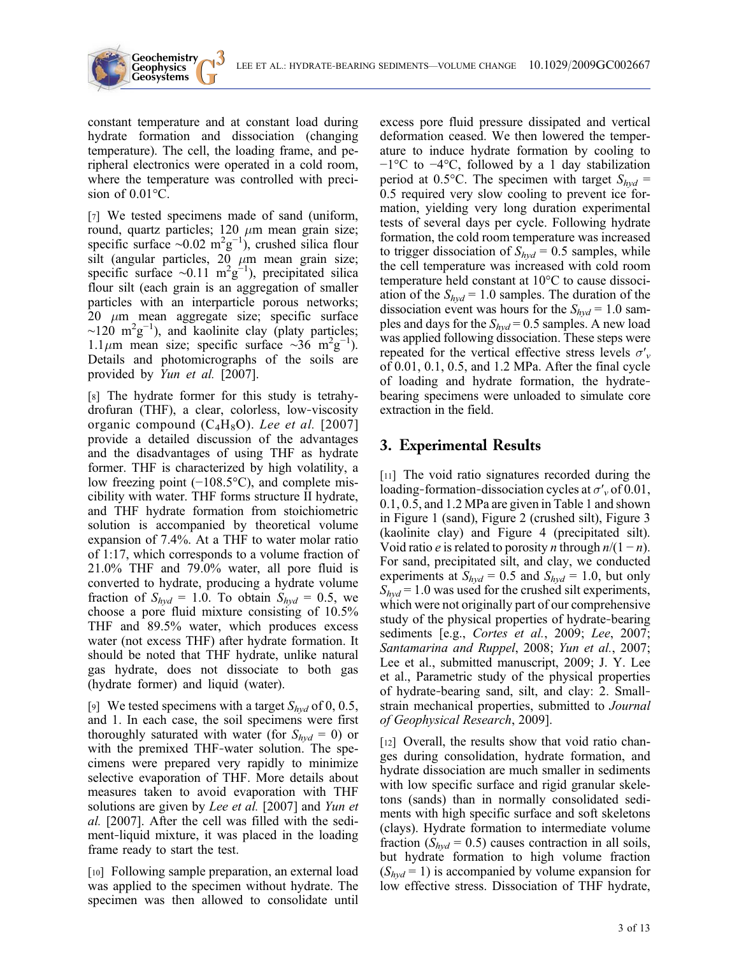constant temperature and at constant load during hydrate formation and dissociation (changing temperature). The cell, the loading frame, and peripheral electronics were operated in a cold room, where the temperature was controlled with precision of 0.01°C.

**Geochemistry Geophysics**

[7] We tested specimens made of sand (uniform, round, quartz particles;  $120 \mu m$  mean grain size; specific surface ~0.02 m<sup>2</sup>g<sup>-1</sup>), crushed silica flour silt (angular particles,  $20 \mu m$  mean grain size; specific surface ~0.11 m<sup>2</sup>g<sup>-1</sup>), precipitated silica flour silt (each grain is an aggregation of smaller particles with an interparticle porous networks; 20  $\mu$ m mean aggregate size; specific surface  $\sim$ 120 m<sup>2</sup>g<sup>-1</sup>), and kaolinite clay (platy particles; 1.1μm mean size; specific surface ∼36 m<sup>2</sup>g<sup>-1</sup>). Details and photomicrographs of the soils are provided by Yun et al. [2007].

[8] The hydrate former for this study is tetrahydrofuran (THF), a clear, colorless, low‐viscosity organic compound  $(C_4H_8O)$ . Lee et al. [2007] provide a detailed discussion of the advantages and the disadvantages of using THF as hydrate former. THF is characterized by high volatility, a low freezing point (−108.5°C), and complete miscibility with water. THF forms structure II hydrate, and THF hydrate formation from stoichiometric solution is accompanied by theoretical volume expansion of 7.4%. At a THF to water molar ratio of 1:17, which corresponds to a volume fraction of 21.0% THF and 79.0% water, all pore fluid is converted to hydrate, producing a hydrate volume fraction of  $S_{hyd} = 1.0$ . To obtain  $S_{hyd} = 0.5$ , we choose a pore fluid mixture consisting of 10.5% THF and 89.5% water, which produces excess water (not excess THF) after hydrate formation. It should be noted that THF hydrate, unlike natural gas hydrate, does not dissociate to both gas (hydrate former) and liquid (water).

[9] We tested specimens with a target  $S_{hvd}$  of 0, 0.5, and 1. In each case, the soil specimens were first thoroughly saturated with water (for  $S_{hvd} = 0$ ) or with the premixed THF‐water solution. The specimens were prepared very rapidly to minimize selective evaporation of THF. More details about measures taken to avoid evaporation with THF solutions are given by *Lee et al.* [2007] and *Yun et* al. [2007]. After the cell was filled with the sediment‐liquid mixture, it was placed in the loading frame ready to start the test.

[10] Following sample preparation, an external load was applied to the specimen without hydrate. The specimen was then allowed to consolidate until excess pore fluid pressure dissipated and vertical deformation ceased. We then lowered the temperature to induce hydrate formation by cooling to −1°C to −4°C, followed by a 1 day stabilization period at 0.5°C. The specimen with target  $S_{hvd}$  = 0.5 required very slow cooling to prevent ice formation, yielding very long duration experimental tests of several days per cycle. Following hydrate formation, the cold room temperature was increased to trigger dissociation of  $S_{hvd} = 0.5$  samples, while the cell temperature was increased with cold room temperature held constant at 10°C to cause dissociation of the  $S_{hvd} = 1.0$  samples. The duration of the dissociation event was hours for the  $S_{hyd} = 1.0$  samples and days for the  $S_{hyd} = 0.5$  samples. A new load was applied following dissociation. These steps were repeated for the vertical effective stress levels  $\sigma'_v$ of 0.01, 0.1, 0.5, and 1.2 MPa. After the final cycle of loading and hydrate formation, the hydrate‐ bearing specimens were unloaded to simulate core extraction in the field.

## 3. Experimental Results

[11] The void ratio signatures recorded during the loading-formation-dissociation cycles at  $\sigma'$  of 0.01, 0.1, 0.5, and 1.2 MPa are given in Table 1 and shown in Figure 1 (sand), Figure 2 (crushed silt), Figure 3 (kaolinite clay) and Figure 4 (precipitated silt). Void ratio *e* is related to porosity *n* through  $n/(1 - n)$ . For sand, precipitated silt, and clay, we conducted experiments at  $S_{hyd} = 0.5$  and  $S_{hyd} = 1.0$ , but only  $S_{\text{hvd}} = 1.0$  was used for the crushed silt experiments, which were not originally part of our comprehensive study of the physical properties of hydrate‐bearing sediments [e.g., Cortes et al., 2009; Lee, 2007; Santamarina and Ruppel, 2008; Yun et al., 2007; Lee et al., submitted manuscript, 2009; J. Y. Lee et al., Parametric study of the physical properties of hydrate‐bearing sand, silt, and clay: 2. Small‐ strain mechanical properties, submitted to Journal of Geophysical Research, 2009].

[12] Overall, the results show that void ratio changes during consolidation, hydrate formation, and hydrate dissociation are much smaller in sediments with low specific surface and rigid granular skeletons (sands) than in normally consolidated sediments with high specific surface and soft skeletons (clays). Hydrate formation to intermediate volume fraction ( $S_{hvd} = 0.5$ ) causes contraction in all soils, but hydrate formation to high volume fraction  $(S<sub>hvd</sub> = 1)$  is accompanied by volume expansion for low effective stress. Dissociation of THF hydrate,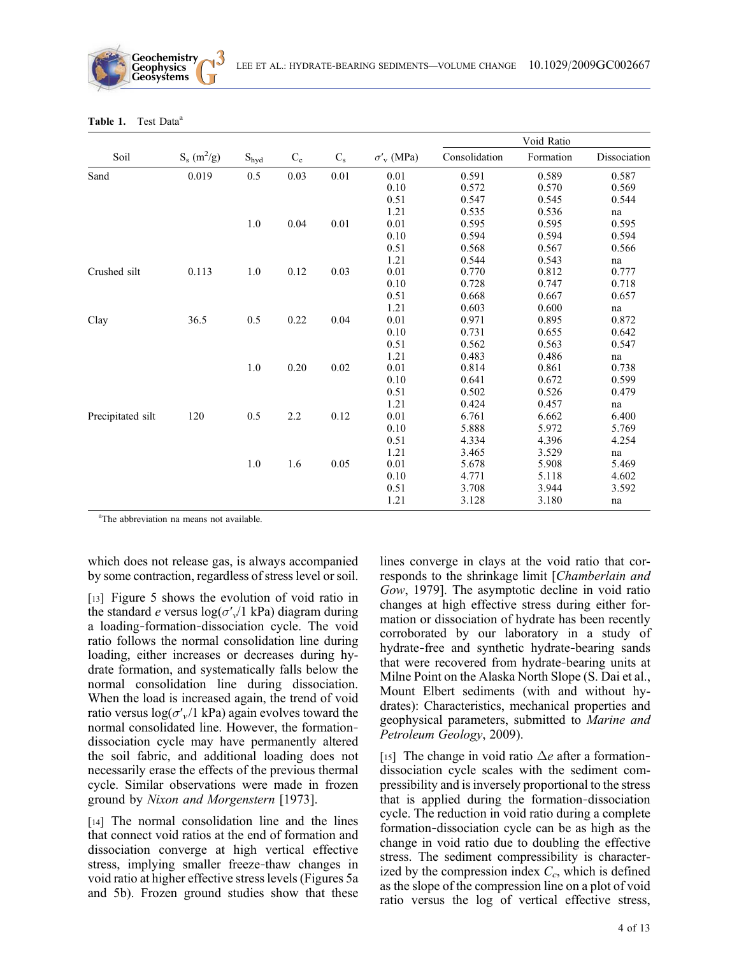| Table 1. |  | Test Data <sup>a</sup> |
|----------|--|------------------------|
|          |  |                        |

**Geochemistry Geophysics**

|                   |                           |           |                  |             |                     | Void Ratio    |           |              |
|-------------------|---------------------------|-----------|------------------|-------------|---------------------|---------------|-----------|--------------|
| Soil              | $S_s$ (m <sup>2</sup> /g) | $S_{hyd}$ | $\mathrm{C_{c}}$ | $C_{\rm s}$ | $\sigma'_{v}$ (MPa) | Consolidation | Formation | Dissociation |
| Sand              | 0.019                     | 0.5       | 0.03             | 0.01        | 0.01                | 0.591         | 0.589     | 0.587        |
|                   |                           |           |                  |             | 0.10                | 0.572         | 0.570     | 0.569        |
|                   |                           |           |                  |             | 0.51                | 0.547         | 0.545     | 0.544        |
|                   |                           |           |                  |             | 1.21                | 0.535         | 0.536     | na           |
|                   |                           | $1.0\,$   | 0.04             | 0.01        | 0.01                | 0.595         | 0.595     | 0.595        |
|                   |                           |           |                  |             | 0.10                | 0.594         | 0.594     | 0.594        |
|                   |                           |           |                  |             | 0.51                | 0.568         | 0.567     | 0.566        |
|                   |                           |           |                  |             | 1.21                | 0.544         | 0.543     | na           |
| Crushed silt      | 0.113                     | $1.0\,$   | 0.12             | 0.03        | 0.01                | 0.770         | 0.812     | 0.777        |
|                   |                           |           |                  |             | 0.10                | 0.728         | 0.747     | 0.718        |
|                   |                           |           |                  |             | 0.51                | 0.668         | 0.667     | 0.657        |
|                   |                           |           |                  |             | 1.21                | 0.603         | 0.600     | na           |
| Clay              | 36.5                      | 0.5       | 0.22             | 0.04        | 0.01                | 0.971         | 0.895     | 0.872        |
|                   |                           |           |                  |             | 0.10                | 0.731         | 0.655     | 0.642        |
|                   |                           |           |                  |             | 0.51                | 0.562         | 0.563     | 0.547        |
|                   |                           |           |                  |             | 1.21                | 0.483         | 0.486     | na           |
|                   |                           | $1.0\,$   | 0.20             | $0.02\,$    | 0.01                | 0.814         | 0.861     | 0.738        |
|                   |                           |           |                  |             | 0.10                | 0.641         | 0.672     | 0.599        |
|                   |                           |           |                  |             | 0.51                | 0.502         | 0.526     | 0.479        |
|                   |                           |           |                  |             | 1.21                | 0.424         | 0.457     | na           |
| Precipitated silt | 120                       | 0.5       | $2.2\,$          | 0.12        | 0.01                | 6.761         | 6.662     | 6.400        |
|                   |                           |           |                  |             | 0.10                | 5.888         | 5.972     | 5.769        |
|                   |                           |           |                  |             | 0.51                | 4.334         | 4.396     | 4.254        |
|                   |                           |           |                  |             | 1.21                | 3.465         | 3.529     | na           |
|                   |                           | 1.0       | 1.6              | 0.05        | 0.01                | 5.678         | 5.908     | 5.469        |
|                   |                           |           |                  |             | 0.10                | 4.771         | 5.118     | 4.602        |
|                   |                           |           |                  |             | 0.51                | 3.708         | 3.944     | 3.592        |
|                   |                           |           |                  |             | 1.21                | 3.128         | 3.180     | na           |

<sup>a</sup>The abbreviation na means not available.

which does not release gas, is always accompanied by some contraction, regardless of stress level or soil.

[13] Figure 5 shows the evolution of void ratio in the standard e versus  $log(\sigma'/1 \text{ kPa})$  diagram during a loading‐formation‐dissociation cycle. The void ratio follows the normal consolidation line during loading, either increases or decreases during hydrate formation, and systematically falls below the normal consolidation line during dissociation. When the load is increased again, the trend of void ratio versus  $log(\sigma'_v/1 \text{ kPa})$  again evolves toward the normal consolidated line. However, the formation‐ dissociation cycle may have permanently altered the soil fabric, and additional loading does not necessarily erase the effects of the previous thermal cycle. Similar observations were made in frozen ground by Nixon and Morgenstern [1973].

[14] The normal consolidation line and the lines that connect void ratios at the end of formation and dissociation converge at high vertical effective stress, implying smaller freeze‐thaw changes in void ratio at higher effective stress levels (Figures 5a and 5b). Frozen ground studies show that these lines converge in clays at the void ratio that corresponds to the shrinkage limit [Chamberlain and Gow, 1979]. The asymptotic decline in void ratio changes at high effective stress during either formation or dissociation of hydrate has been recently corroborated by our laboratory in a study of hydrate‐free and synthetic hydrate‐bearing sands that were recovered from hydrate‐bearing units at Milne Point on the Alaska North Slope (S. Dai et al., Mount Elbert sediments (with and without hydrates): Characteristics, mechanical properties and geophysical parameters, submitted to Marine and Petroleum Geology, 2009).

[15] The change in void ratio  $\Delta e$  after a formationdissociation cycle scales with the sediment compressibility and is inversely proportional to the stress that is applied during the formation‐dissociation cycle. The reduction in void ratio during a complete formation‐dissociation cycle can be as high as the change in void ratio due to doubling the effective stress. The sediment compressibility is characterized by the compression index  $C_c$ , which is defined as the slope of the compression line on a plot of void ratio versus the log of vertical effective stress,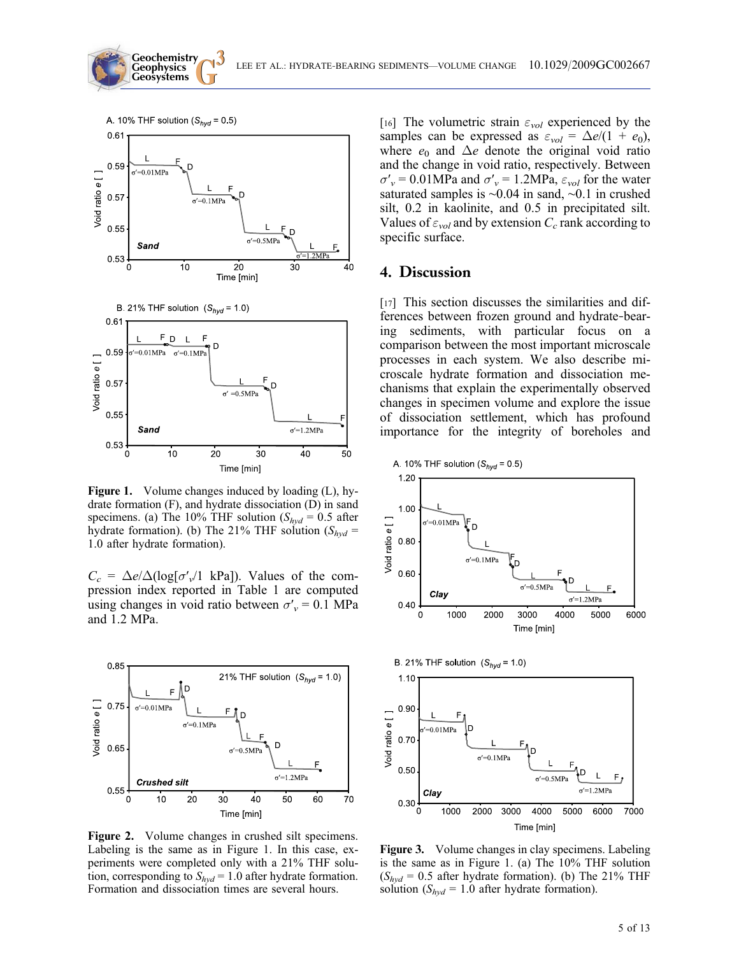

**Geochemistry Geophysics**

Figure 1. Volume changes induced by loading (L), hydrate formation (F), and hydrate dissociation (D) in sand specimens. (a) The 10% THF solution  $(S_{hvd} = 0.5$  after hydrate formation). (b) The 21% THF solution  $(S_{hvd} =$ 1.0 after hydrate formation).

 $C_c = \Delta e / \Delta (\log[\sigma'_{v'}(1 \text{ kPa}]).$  Values of the compression index reported in Table 1 are computed using changes in void ratio between  $\sigma'_v = 0.1$  MPa and 1.2 MPa.



Figure 2. Volume changes in crushed silt specimens. Labeling is the same as in Figure 1. In this case, experiments were completed only with a 21% THF solution, corresponding to  $S_{hyd} = 1.0$  after hydrate formation. Formation and dissociation times are several hours.

[16] The volumetric strain  $\varepsilon_{vol}$  experienced by the samples can be expressed as  $\varepsilon_{vol} = \Delta e/(1 + e_0)$ , where  $e_0$  and  $\Delta e$  denote the original void ratio and the change in void ratio, respectively. Between  $\sigma'_{v}$  = 0.01MPa and  $\sigma'_{v}$  = 1.2MPa,  $\varepsilon_{vol}$  for the water saturated samples is ∼0.04 in sand, ∼0.1 in crushed silt, 0.2 in kaolinite, and 0.5 in precipitated silt. Values of  $\varepsilon_{vol}$  and by extension  $C_c$  rank according to specific surface.

#### 4. Discussion

[17] This section discusses the similarities and differences between frozen ground and hydrate‐bearing sediments, with particular focus on a comparison between the most important microscale processes in each system. We also describe microscale hydrate formation and dissociation mechanisms that explain the experimentally observed changes in specimen volume and explore the issue of dissociation settlement, which has profound importance for the integrity of boreholes and







Figure 3. Volume changes in clay specimens. Labeling is the same as in Figure 1. (a) The 10% THF solution  $(S_{hyd} = 0.5$  after hydrate formation). (b) The 21% THF solution ( $S_{hvd}$  = 1.0 after hydrate formation).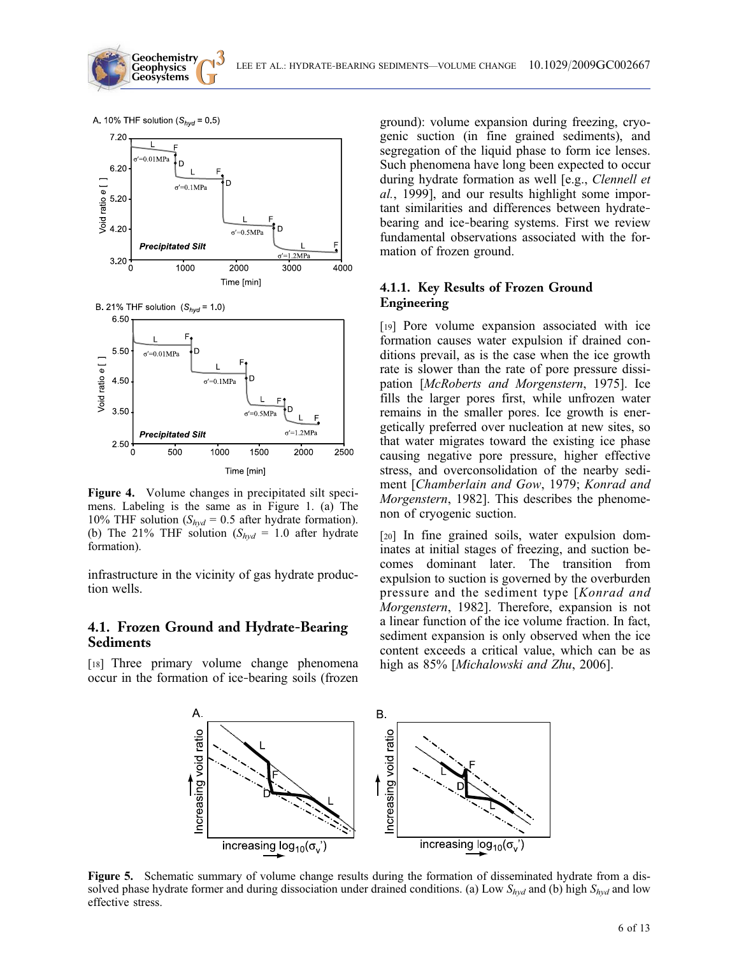A. 10% THF solution  $(S_{hyd} = 0.5)$ 

**Geochemistry Geophysics**



 $\sigma$ '=1.2MPa recipitated Silf 2.50 500 1000 1500 2000 2500 Time [min]

Figure 4. Volume changes in precipitated silt specimens. Labeling is the same as in Figure 1. (a) The 10% THF solution ( $S_{hvd} = 0.5$  after hydrate formation). (b) The 21% THF solution ( $S_{hyd} = 1.0$  after hydrate formation).

infrastructure in the vicinity of gas hydrate production wells.

#### 4.1. Frozen Ground and Hydrate‐Bearing Sediments

[18] Three primary volume change phenomena occur in the formation of ice‐bearing soils (frozen ground): volume expansion during freezing, cryogenic suction (in fine grained sediments), and segregation of the liquid phase to form ice lenses. Such phenomena have long been expected to occur during hydrate formation as well [e.g., Clennell et al., 1999], and our results highlight some important similarities and differences between hydratebearing and ice-bearing systems. First we review fundamental observations associated with the formation of frozen ground.

#### 4.1.1. Key Results of Frozen Ground Engineering

[19] Pore volume expansion associated with ice formation causes water expulsion if drained conditions prevail, as is the case when the ice growth rate is slower than the rate of pore pressure dissipation [McRoberts and Morgenstern, 1975]. Ice fills the larger pores first, while unfrozen water remains in the smaller pores. Ice growth is energetically preferred over nucleation at new sites, so that water migrates toward the existing ice phase causing negative pore pressure, higher effective stress, and overconsolidation of the nearby sediment [Chamberlain and Gow, 1979; Konrad and Morgenstern, 1982]. This describes the phenomenon of cryogenic suction.

[20] In fine grained soils, water expulsion dominates at initial stages of freezing, and suction becomes dominant later. The transition from expulsion to suction is governed by the overburden pressure and the sediment type [Konrad and Morgenstern, 1982]. Therefore, expansion is not a linear function of the ice volume fraction. In fact, sediment expansion is only observed when the ice content exceeds a critical value, which can be as high as 85% [Michalowski and Zhu, 2006].



Figure 5. Schematic summary of volume change results during the formation of disseminated hydrate from a dissolved phase hydrate former and during dissociation under drained conditions. (a) Low  $S_{hvd}$  and (b) high  $S_{hvd}$  and low effective stress.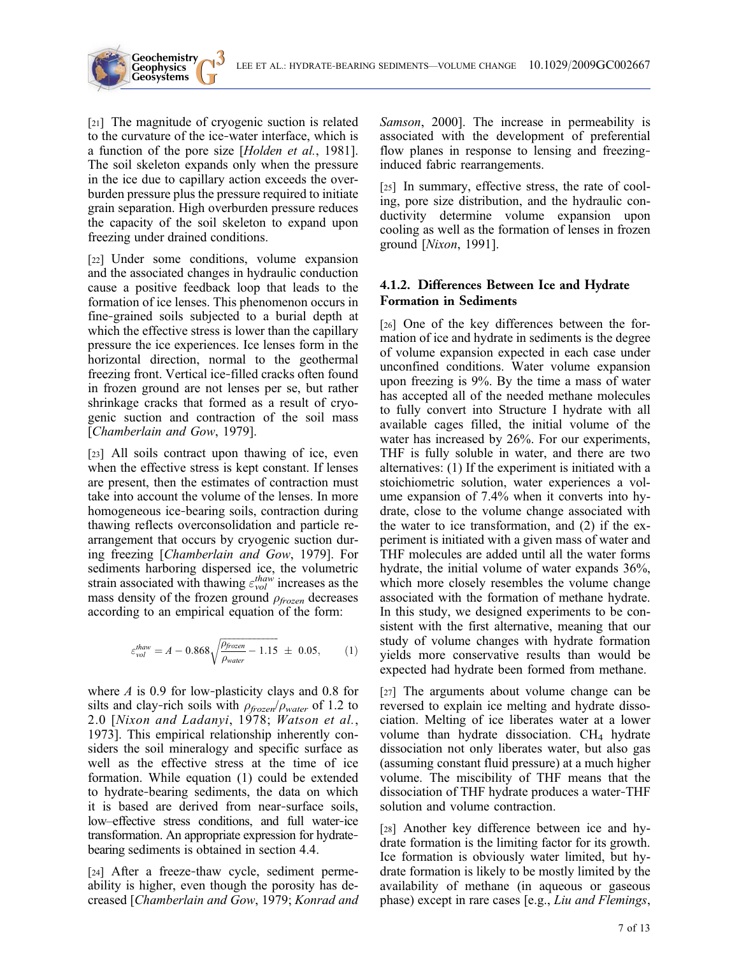[21] The magnitude of cryogenic suction is related to the curvature of the ice‐water interface, which is a function of the pore size [Holden et al., 1981]. The soil skeleton expands only when the pressure in the ice due to capillary action exceeds the overburden pressure plus the pressure required to initiate grain separation. High overburden pressure reduces the capacity of the soil skeleton to expand upon freezing under drained conditions.

**Geochemistry Geophysics**

[22] Under some conditions, volume expansion and the associated changes in hydraulic conduction cause a positive feedback loop that leads to the formation of ice lenses. This phenomenon occurs in fine‐grained soils subjected to a burial depth at which the effective stress is lower than the capillary pressure the ice experiences. Ice lenses form in the horizontal direction, normal to the geothermal freezing front. Vertical ice‐filled cracks often found in frozen ground are not lenses per se, but rather shrinkage cracks that formed as a result of cryogenic suction and contraction of the soil mass [Chamberlain and Gow, 1979].

[23] All soils contract upon thawing of ice, even when the effective stress is kept constant. If lenses are present, then the estimates of contraction must take into account the volume of the lenses. In more homogeneous ice-bearing soils, contraction during thawing reflects overconsolidation and particle rearrangement that occurs by cryogenic suction during freezing [Chamberlain and Gow, 1979]. For sediments harboring dispersed ice, the volumetric strain associated with thawing  $\varepsilon_{vol}^{haw}$  increases as the mass density of the frozen ground  $\rho_{frozen}$  decreases according to an empirical equation of the form:

$$
\varepsilon_{vol}^{thaw} = A - 0.868 \sqrt{\frac{\rho_{frozen}}{\rho_{water}} - 1.15} \pm 0.05, \qquad (1)
$$

where  $A$  is 0.9 for low-plasticity clays and 0.8 for silts and clay-rich soils with  $\rho_{frozen}/\rho_{water}$  of 1.2 to 2.0 [Nixon and Ladanyi, 1978; Watson et al., 1973]. This empirical relationship inherently considers the soil mineralogy and specific surface as well as the effective stress at the time of ice formation. While equation (1) could be extended to hydrate‐bearing sediments, the data on which it is based are derived from near‐surface soils, low–effective stress conditions, and full water‐ice transformation. An appropriate expression for hydrate‐ bearing sediments is obtained in section 4.4.

[24] After a freeze-thaw cycle, sediment permeability is higher, even though the porosity has decreased [Chamberlain and Gow, 1979; Konrad and Samson, 2000]. The increase in permeability is associated with the development of preferential flow planes in response to lensing and freezing– induced fabric rearrangements.

[25] In summary, effective stress, the rate of cooling, pore size distribution, and the hydraulic conductivity determine volume expansion upon cooling as well as the formation of lenses in frozen ground [Nixon, 1991].

#### 4.1.2. Differences Between Ice and Hydrate Formation in Sediments

[26] One of the key differences between the formation of ice and hydrate in sediments is the degree of volume expansion expected in each case under unconfined conditions. Water volume expansion upon freezing is 9%. By the time a mass of water has accepted all of the needed methane molecules to fully convert into Structure I hydrate with all available cages filled, the initial volume of the water has increased by 26%. For our experiments, THF is fully soluble in water, and there are two alternatives: (1) If the experiment is initiated with a stoichiometric solution, water experiences a volume expansion of 7.4% when it converts into hydrate, close to the volume change associated with the water to ice transformation, and (2) if the experiment is initiated with a given mass of water and THF molecules are added until all the water forms hydrate, the initial volume of water expands 36%, which more closely resembles the volume change associated with the formation of methane hydrate. In this study, we designed experiments to be consistent with the first alternative, meaning that our study of volume changes with hydrate formation yields more conservative results than would be expected had hydrate been formed from methane.

[27] The arguments about volume change can be reversed to explain ice melting and hydrate dissociation. Melting of ice liberates water at a lower volume than hydrate dissociation.  $CH<sub>4</sub>$  hydrate dissociation not only liberates water, but also gas (assuming constant fluid pressure) at a much higher volume. The miscibility of THF means that the dissociation of THF hydrate produces a water‐THF solution and volume contraction.

[28] Another key difference between ice and hydrate formation is the limiting factor for its growth. Ice formation is obviously water limited, but hydrate formation is likely to be mostly limited by the availability of methane (in aqueous or gaseous phase) except in rare cases [e.g., Liu and Flemings,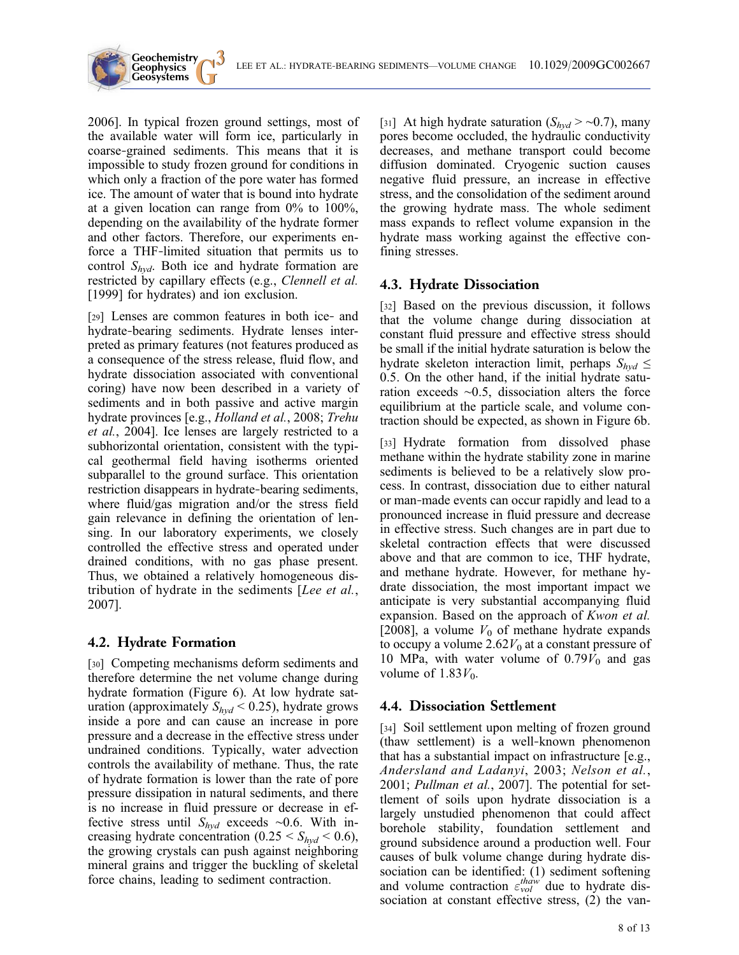

2006]. In typical frozen ground settings, most of the available water will form ice, particularly in coarse‐grained sediments. This means that it is impossible to study frozen ground for conditions in which only a fraction of the pore water has formed ice. The amount of water that is bound into hydrate at a given location can range from 0% to 100%, depending on the availability of the hydrate former and other factors. Therefore, our experiments enforce a THF‐limited situation that permits us to control  $S_{hvd}$ . Both ice and hydrate formation are restricted by capillary effects (e.g., *Clennell et al.* [1999] for hydrates) and ion exclusion.

**Geochemistry Geophysics**

[29] Lenses are common features in both ice- and hydrate‐bearing sediments. Hydrate lenses interpreted as primary features (not features produced as a consequence of the stress release, fluid flow, and hydrate dissociation associated with conventional coring) have now been described in a variety of sediments and in both passive and active margin hydrate provinces [e.g., Holland et al., 2008; Trehu et al., 2004]. Ice lenses are largely restricted to a subhorizontal orientation, consistent with the typical geothermal field having isotherms oriented subparallel to the ground surface. This orientation restriction disappears in hydrate‐bearing sediments, where fluid/gas migration and/or the stress field gain relevance in defining the orientation of lensing. In our laboratory experiments, we closely controlled the effective stress and operated under drained conditions, with no gas phase present. Thus, we obtained a relatively homogeneous distribution of hydrate in the sediments [Lee et al., 2007].

## 4.2. Hydrate Formation

[30] Competing mechanisms deform sediments and therefore determine the net volume change during hydrate formation (Figure 6). At low hydrate saturation (approximately  $S_{hyd}$  < 0.25), hydrate grows inside a pore and can cause an increase in pore pressure and a decrease in the effective stress under undrained conditions. Typically, water advection controls the availability of methane. Thus, the rate of hydrate formation is lower than the rate of pore pressure dissipation in natural sediments, and there is no increase in fluid pressure or decrease in effective stress until  $S_{hvd}$  exceeds ∼0.6. With increasing hydrate concentration (0.25  $\leq S_{hyd} \leq 0.6$ ), the growing crystals can push against neighboring mineral grains and trigger the buckling of skeletal force chains, leading to sediment contraction.

[31] At high hydrate saturation  $(S_{hvd} > \sim 0.7)$ , many pores become occluded, the hydraulic conductivity decreases, and methane transport could become diffusion dominated. Cryogenic suction causes negative fluid pressure, an increase in effective stress, and the consolidation of the sediment around the growing hydrate mass. The whole sediment mass expands to reflect volume expansion in the hydrate mass working against the effective confining stresses.

## 4.3. Hydrate Dissociation

[32] Based on the previous discussion, it follows that the volume change during dissociation at constant fluid pressure and effective stress should be small if the initial hydrate saturation is below the hydrate skeleton interaction limit, perhaps  $S_{hvd} \leq$ 0.5. On the other hand, if the initial hydrate saturation exceeds ∼0.5, dissociation alters the force equilibrium at the particle scale, and volume contraction should be expected, as shown in Figure 6b.

[33] Hydrate formation from dissolved phase methane within the hydrate stability zone in marine sediments is believed to be a relatively slow process. In contrast, dissociation due to either natural or man‐made events can occur rapidly and lead to a pronounced increase in fluid pressure and decrease in effective stress. Such changes are in part due to skeletal contraction effects that were discussed above and that are common to ice, THF hydrate, and methane hydrate. However, for methane hydrate dissociation, the most important impact we anticipate is very substantial accompanying fluid expansion. Based on the approach of *Kwon et al.* [2008], a volume  $V_0$  of methane hydrate expands to occupy a volume  $2.62V_0$  at a constant pressure of 10 MPa, with water volume of  $0.79V_0$  and gas volume of  $1.83V_0$ .

## 4.4. Dissociation Settlement

[34] Soil settlement upon melting of frozen ground (thaw settlement) is a well‐known phenomenon that has a substantial impact on infrastructure [e.g., Andersland and Ladanyi, 2003; Nelson et al., 2001; Pullman et al., 2007]. The potential for settlement of soils upon hydrate dissociation is a largely unstudied phenomenon that could affect borehole stability, foundation settlement and ground subsidence around a production well. Four causes of bulk volume change during hydrate dissociation can be identified: (1) sediment softening and volume contraction  $\varepsilon_{vol}^{thaw'}$  due to hydrate dissociation at constant effective stress, (2) the van-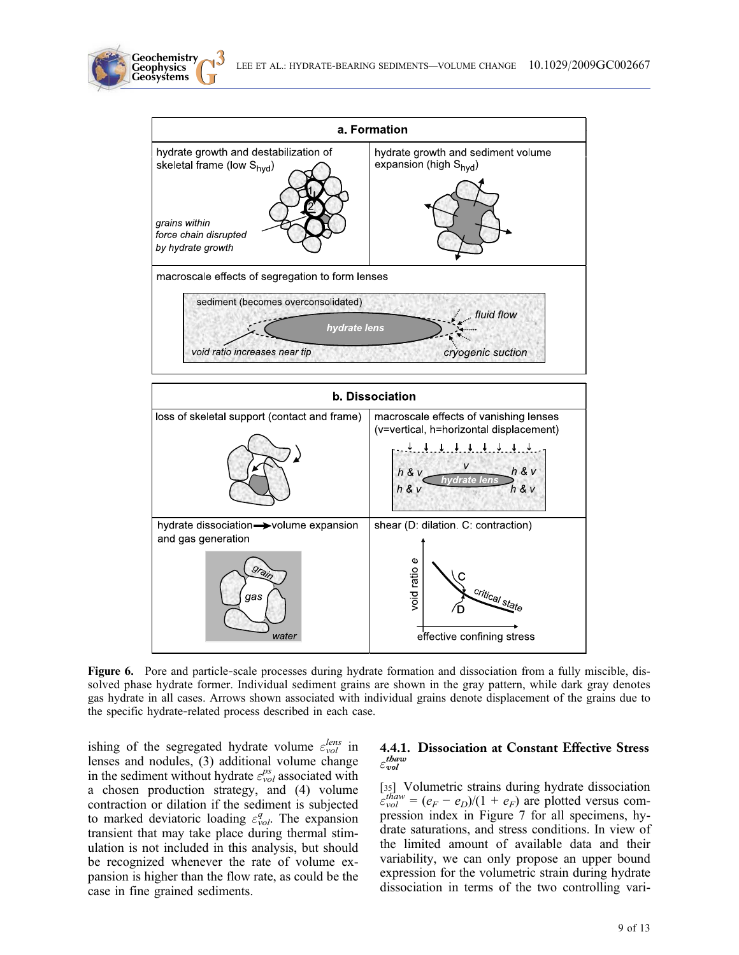

Figure 6. Pore and particle-scale processes during hydrate formation and dissociation from a fully miscible, dissolved phase hydrate former. Individual sediment grains are shown in the gray pattern, while dark gray denotes gas hydrate in all cases. Arrows shown associated with individual grains denote displacement of the grains due to the specific hydrate‐related process described in each case.

ishing of the segregated hydrate volume  $\varepsilon_{vol}^{lens}$  in lenses and nodules, (3) additional volume change in the sediment without hydrate  $\varepsilon_{vol}^{ps}$  associated with a chosen production strategy, and (4) volume contraction or dilation if the sediment is subjected to marked deviatoric loading  $\varepsilon_{vol}^q$ . The expansion transient that may take place during thermal stimulation is not included in this analysis, but should be recognized whenever the rate of volume expansion is higher than the flow rate, as could be the case in fine grained sediments.

**Geochemistry Geophysics**

#### 4.4.1. Dissociation at Constant Effective Stress  $\varepsilon_{vol}^{thaw}$

[35] Volumetric strains during hydrate dissociation  $\varepsilon_{vol}^{thaw} = (e_F - e_D)/(1 + e_F)$  are plotted versus compression index in Figure 7 for all specimens, hydrate saturations, and stress conditions. In view of the limited amount of available data and their variability, we can only propose an upper bound expression for the volumetric strain during hydrate dissociation in terms of the two controlling vari-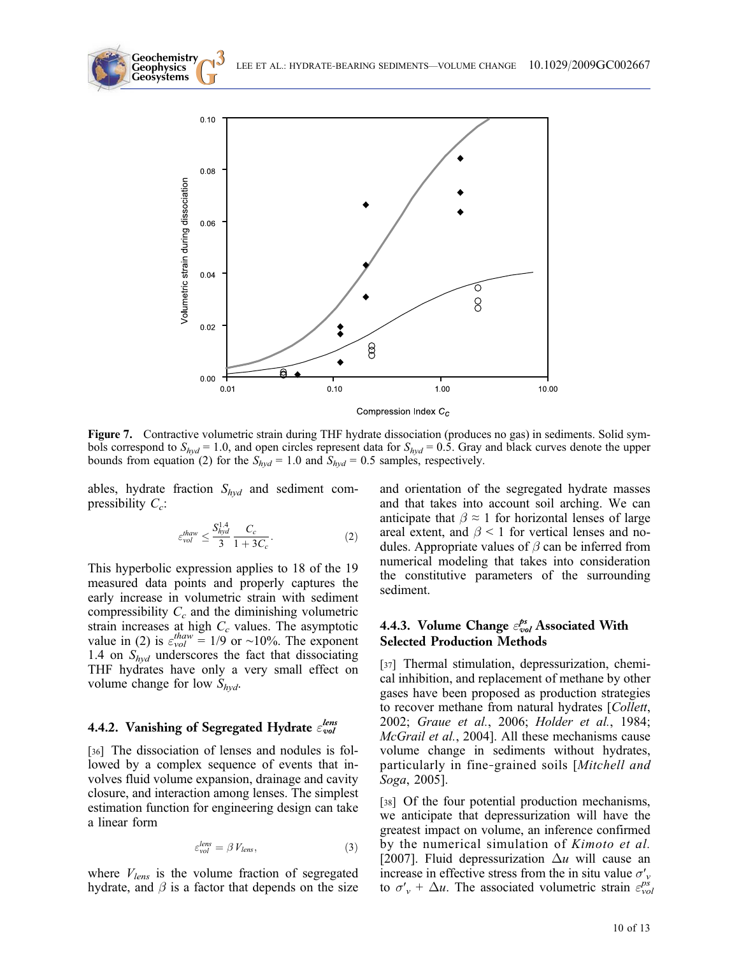

Figure 7. Contractive volumetric strain during THF hydrate dissociation (produces no gas) in sediments. Solid symbols correspond to  $S_{hvd} = 1.0$ , and open circles represent data for  $S_{hvd} = 0.5$ . Gray and black curves denote the upper bounds from equation (2) for the  $S_{hyd} = 1.0$  and  $S_{hyd} = 0.5$  samples, respectively.

ables, hydrate fraction  $S_{hyd}$  and sediment compressibility  $C_c$ :

**Geochemistry Geophysics**

$$
\varepsilon_{vol}^{thaw} \le \frac{S_{hyd}^{1.4}}{3} \frac{C_c}{1 + 3C_c}.
$$
 (2)

This hyperbolic expression applies to 18 of the 19 measured data points and properly captures the early increase in volumetric strain with sediment compressibility  $C_c$  and the diminishing volumetric strain increases at high  $C_c$  values. The asymptotic value in (2) is  $\varepsilon_{vol}^{haw} = 1/9$  or ~10%. The exponent 1.4 on  $S_{hyd}$  underscores the fact that dissociating THF hydrates have only a very small effect on volume change for low  $S_{hvd}$ .

# 4.4.2. Vanishing of Segregated Hydrate  $\varepsilon_{vol}^{lens}$

[36] The dissociation of lenses and nodules is followed by a complex sequence of events that involves fluid volume expansion, drainage and cavity closure, and interaction among lenses. The simplest estimation function for engineering design can take a linear form

$$
\varepsilon_{vol}^{lens} = \beta V_{lens},\tag{3}
$$

where  $V_{lens}$  is the volume fraction of segregated hydrate, and  $\beta$  is a factor that depends on the size and orientation of the segregated hydrate masses and that takes into account soil arching. We can anticipate that  $\beta \approx 1$  for horizontal lenses of large areal extent, and  $\beta$  < 1 for vertical lenses and nodules. Appropriate values of  $\beta$  can be inferred from numerical modeling that takes into consideration the constitutive parameters of the surrounding sediment.

#### 4.4.3. Volume Change  $\varepsilon_{vol}^{ps}$  Associated With Selected Production Methods

[37] Thermal stimulation, depressurization, chemical inhibition, and replacement of methane by other gases have been proposed as production strategies to recover methane from natural hydrates [Collett, 2002; Graue et al., 2006; Holder et al., 1984; McGrail et al., 2004]. All these mechanisms cause volume change in sediments without hydrates, particularly in fine-grained soils [Mitchell and Soga, 2005].

[38] Of the four potential production mechanisms, we anticipate that depressurization will have the greatest impact on volume, an inference confirmed by the numerical simulation of *Kimoto et al.* [2007]. Fluid depressurization  $\Delta u$  will cause an increase in effective stress from the in situ value  $\sigma'_v$ to  $\sigma'_{v} + \Delta u$ . The associated volumetric strain  $\varepsilon_{vol}^{ps}$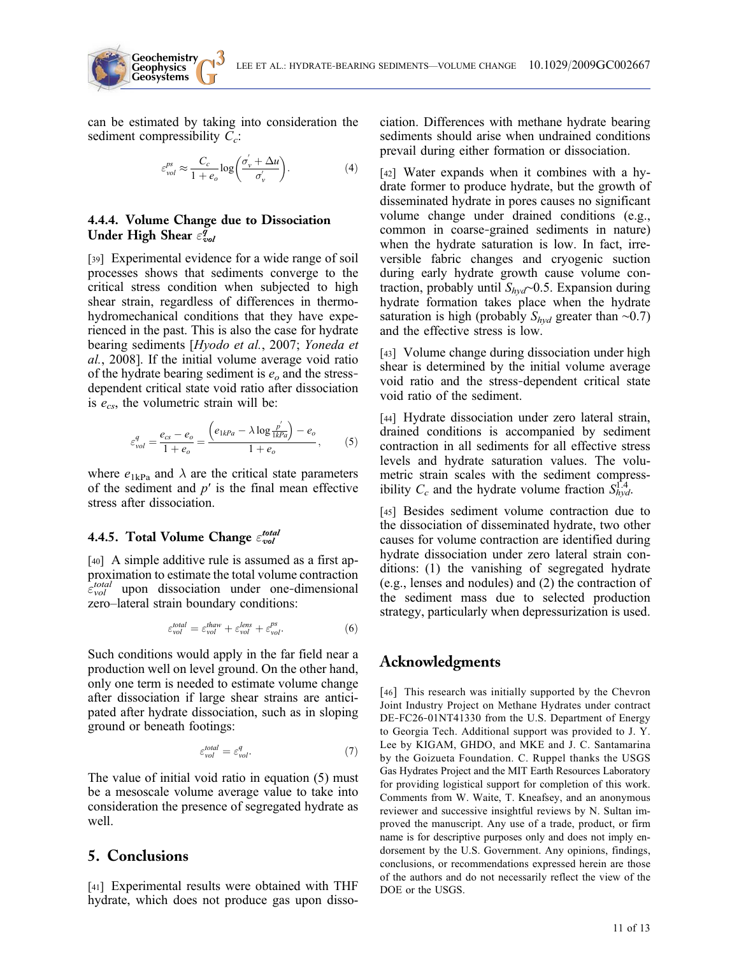can be estimated by taking into consideration the sediment compressibility  $C_c$ :

**Geochemistry Geophysics**

$$
\varepsilon_{vol}^{ps} \approx \frac{C_c}{1 + e_o} \log \left( \frac{\sigma_v' + \Delta u}{\sigma_v'} \right). \tag{4}
$$

#### 4.4.4. Volume Change due to Dissociation Under High Shear  $\varepsilon_{vol}^{\not\!q}$

[39] Experimental evidence for a wide range of soil processes shows that sediments converge to the critical stress condition when subjected to high shear strain, regardless of differences in thermohydromechanical conditions that they have experienced in the past. This is also the case for hydrate bearing sediments [Hyodo et al., 2007; Yoneda et al., 2008]. If the initial volume average void ratio of the hydrate bearing sediment is  $e_0$  and the stress– dependent critical state void ratio after dissociation is  $e_{cs}$ , the volumetric strain will be:

$$
\varepsilon_{vol}^q = \frac{e_{cs} - e_o}{1 + e_o} = \frac{\left(e_{1kPa} - \lambda \log \frac{p'}{1kPa}\right) - e_o}{1 + e_o},
$$
 (5)

where  $e_{1kPa}$  and  $\lambda$  are the critical state parameters of the sediment and  $p'$  is the final mean effective stress after dissociation.

# 4.4.5. Total Volume Change  $\varepsilon_{vol}^{total}$

[40] A simple additive rule is assumed as a first approximation to estimate the total volume contraction  $\epsilon_{vol}^{total}$  upon dissociation under one-dimensional zero–lateral strain boundary conditions:

$$
\varepsilon_{vol}^{total} = \varepsilon_{vol}^{thaw} + \varepsilon_{vol}^{lens} + \varepsilon_{vol}^{ps}.
$$
 (6)

Such conditions would apply in the far field near a production well on level ground. On the other hand, only one term is needed to estimate volume change after dissociation if large shear strains are anticipated after hydrate dissociation, such as in sloping ground or beneath footings:

$$
\varepsilon_{vol}^{total} = \varepsilon_{vol}^q.
$$
 (7)

The value of initial void ratio in equation (5) must be a mesoscale volume average value to take into consideration the presence of segregated hydrate as well.

#### 5. Conclusions

[41] Experimental results were obtained with THF hydrate, which does not produce gas upon dissociation. Differences with methane hydrate bearing sediments should arise when undrained conditions prevail during either formation or dissociation.

[42] Water expands when it combines with a hydrate former to produce hydrate, but the growth of disseminated hydrate in pores causes no significant volume change under drained conditions (e.g., common in coarse‐grained sediments in nature) when the hydrate saturation is low. In fact, irreversible fabric changes and cryogenic suction during early hydrate growth cause volume contraction, probably until  $S_{hvd}$ ∼0.5. Expansion during hydrate formation takes place when the hydrate saturation is high (probably  $S_{hyd}$  greater than ∼0.7) and the effective stress is low.

[43] Volume change during dissociation under high shear is determined by the initial volume average void ratio and the stress‐dependent critical state void ratio of the sediment.

[44] Hydrate dissociation under zero lateral strain, drained conditions is accompanied by sediment contraction in all sediments for all effective stress levels and hydrate saturation values. The volumetric strain scales with the sediment compressibility  $C_c$  and the hydrate volume fraction  $S_{hyd}^{1.4}$ .

[45] Besides sediment volume contraction due to the dissociation of disseminated hydrate, two other causes for volume contraction are identified during hydrate dissociation under zero lateral strain conditions: (1) the vanishing of segregated hydrate (e.g., lenses and nodules) and (2) the contraction of the sediment mass due to selected production strategy, particularly when depressurization is used.

#### Acknowledgments

[46] This research was initially supported by the Chevron Joint Industry Project on Methane Hydrates under contract DE-FC26-01NT41330 from the U.S. Department of Energy to Georgia Tech. Additional support was provided to J. Y. Lee by KIGAM, GHDO, and MKE and J. C. Santamarina by the Goizueta Foundation. C. Ruppel thanks the USGS Gas Hydrates Project and the MIT Earth Resources Laboratory for providing logistical support for completion of this work. Comments from W. Waite, T. Kneafsey, and an anonymous reviewer and successive insightful reviews by N. Sultan improved the manuscript. Any use of a trade, product, or firm name is for descriptive purposes only and does not imply endorsement by the U.S. Government. Any opinions, findings, conclusions, or recommendations expressed herein are those of the authors and do not necessarily reflect the view of the DOE or the USGS.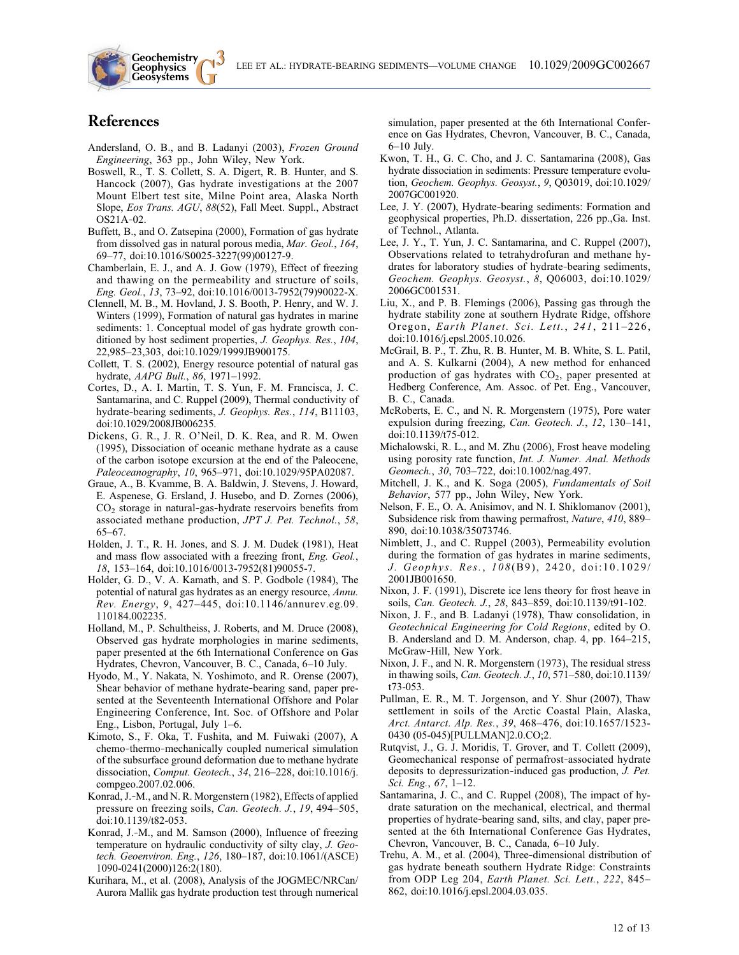## References

**Geochemistry Geophysics**

Andersland, O. B., and B. Ladanyi (2003), Frozen Ground Engineering, 363 pp., John Wiley, New York.

- Boswell, R., T. S. Collett, S. A. Digert, R. B. Hunter, and S. Hancock (2007), Gas hydrate investigations at the 2007 Mount Elbert test site, Milne Point area, Alaska North Slope, Eos Trans. AGU, 88(52), Fall Meet. Suppl., Abstract OS21A‐02.
- Buffett, B., and O. Zatsepina (2000), Formation of gas hydrate from dissolved gas in natural porous media, Mar. Geol., 164, 69–77, doi:10.1016/S0025-3227(99)00127-9.
- Chamberlain, E. J., and A. J. Gow (1979), Effect of freezing and thawing on the permeability and structure of soils, Eng. Geol., 13, 73–92, doi:10.1016/0013-7952(79)90022-X.
- Clennell, M. B., M. Hovland, J. S. Booth, P. Henry, and W. J. Winters (1999), Formation of natural gas hydrates in marine sediments: 1. Conceptual model of gas hydrate growth conditioned by host sediment properties, J. Geophys. Res., 104, 22,985–23,303, doi:10.1029/1999JB900175.
- Collett, T. S. (2002), Energy resource potential of natural gas hydrate, AAPG Bull., 86, 1971–1992.
- Cortes, D., A. I. Martin, T. S. Yun, F. M. Francisca, J. C. Santamarina, and C. Ruppel (2009), Thermal conductivity of hydrate-bearing sediments, *J. Geophys. Res.*, 114, B11103, doi:10.1029/2008JB006235.
- Dickens, G. R., J. R. O'Neil, D. K. Rea, and R. M. Owen (1995), Dissociation of oceanic methane hydrate as a cause of the carbon isotope excursion at the end of the Paleocene, Paleoceanography, 10, 965–971, doi:10.1029/95PA02087.
- Graue, A., B. Kvamme, B. A. Baldwin, J. Stevens, J. Howard, E. Aspenese, G. Ersland, J. Husebo, and D. Zornes (2006), CO2 storage in natural‐gas‐hydrate reservoirs benefits from associated methane production, JPT J. Pet. Technol., 58, 65–67.
- Holden, J. T., R. H. Jones, and S. J. M. Dudek (1981), Heat and mass flow associated with a freezing front, Eng. Geol., 18, 153–164, doi:10.1016/0013-7952(81)90055-7.
- Holder, G. D., V. A. Kamath, and S. P. Godbole (1984), The potential of natural gas hydrates as an energy resource, Annu. Rev. Energy, 9, 427–445, doi:10.1146/annurev.eg.09. 110184.002235.
- Holland, M., P. Schultheiss, J. Roberts, and M. Druce (2008), Observed gas hydrate morphologies in marine sediments, paper presented at the 6th International Conference on Gas Hydrates, Chevron, Vancouver, B. C., Canada, 6–10 July.
- Hyodo, M., Y. Nakata, N. Yoshimoto, and R. Orense (2007), Shear behavior of methane hydrate‐bearing sand, paper presented at the Seventeenth International Offshore and Polar Engineering Conference, Int. Soc. of Offshore and Polar Eng., Lisbon, Portugal, July 1–6.
- Kimoto, S., F. Oka, T. Fushita, and M. Fuiwaki (2007), A chemo‐thermo‐mechanically coupled numerical simulation of the subsurface ground deformation due to methane hydrate dissociation, Comput. Geotech., 34, 216–228, doi:10.1016/j. compgeo.2007.02.006.
- Konrad, J.‐M., and N. R. Morgenstern (1982), Effects of applied pressure on freezing soils, Can. Geotech. J., 19, 494–505, doi:10.1139/t82-053.
- Konrad, J.‐M., and M. Samson (2000), Influence of freezing temperature on hydraulic conductivity of silty clay, J. Geotech. Geoenviron. Eng., 126, 180–187, doi:10.1061/(ASCE) 1090-0241(2000)126:2(180).
- Kurihara, M., et al. (2008), Analysis of the JOGMEC/NRCan/ Aurora Mallik gas hydrate production test through numerical

simulation, paper presented at the 6th International Conference on Gas Hydrates, Chevron, Vancouver, B. C., Canada, 6–10 July.

- Kwon, T. H., G. C. Cho, and J. C. Santamarina (2008), Gas hydrate dissociation in sediments: Pressure temperature evolution, Geochem. Geophys. Geosyst., 9, Q03019, doi:10.1029/ 2007GC001920.
- Lee, J. Y. (2007), Hydrate-bearing sediments: Formation and geophysical properties, Ph.D. dissertation, 226 pp.,Ga. Inst. of Technol., Atlanta.
- Lee, J. Y., T. Yun, J. C. Santamarina, and C. Ruppel (2007), Observations related to tetrahydrofuran and methane hydrates for laboratory studies of hydrate‐bearing sediments, Geochem. Geophys. Geosyst., 8, Q06003, doi:10.1029/ 2006GC001531.
- Liu, X., and P. B. Flemings (2006), Passing gas through the hydrate stability zone at southern Hydrate Ridge, offshore Oregon, Earth Planet. Sci. Lett., 241, 211–226, doi:10.1016/j.epsl.2005.10.026.
- McGrail, B. P., T. Zhu, R. B. Hunter, M. B. White, S. L. Patil, and A. S. Kulkarni (2004), A new method for enhanced production of gas hydrates with  $CO<sub>2</sub>$ , paper presented at Hedberg Conference, Am. Assoc. of Pet. Eng., Vancouver, B. C., Canada.
- McRoberts, E. C., and N. R. Morgenstern (1975), Pore water expulsion during freezing, Can. Geotech. J., 12, 130–141, doi:10.1139/t75-012.
- Michalowski, R. L., and M. Zhu (2006), Frost heave modeling using porosity rate function, Int. J. Numer. Anal. Methods Geomech., 30, 703–722, doi:10.1002/nag.497.
- Mitchell, J. K., and K. Soga (2005), Fundamentals of Soil Behavior, 577 pp., John Wiley, New York.
- Nelson, F. E., O. A. Anisimov, and N. I. Shiklomanov (2001), Subsidence risk from thawing permafrost, Nature, 410, 889– 890, doi:10.1038/35073746.
- Nimblett, J., and C. Ruppel (2003), Permeability evolution during the formation of gas hydrates in marine sediments, J. Geophys. Res., 108(B9), 2420, doi:10.1029/ 2001JB001650.
- Nixon, J. F. (1991), Discrete ice lens theory for frost heave in soils, Can. Geotech. J., 28, 843–859, doi:10.1139/t91-102.
- Nixon, J. F., and B. Ladanyi (1978), Thaw consolidation, in Geotechnical Engineering for Cold Regions, edited by O. B. Andersland and D. M. Anderson, chap. 4, pp. 164–215, McGraw‐Hill, New York.
- Nixon, J. F., and N. R. Morgenstern (1973), The residual stress in thawing soils, Can. Geotech. J., 10, 571–580, doi:10.1139/ t73-053.
- Pullman, E. R., M. T. Jorgenson, and Y. Shur (2007), Thaw settlement in soils of the Arctic Coastal Plain, Alaska, Arct. Antarct. Alp. Res., 39, 468–476, doi:10.1657/1523- 0430 (05-045)[PULLMAN]2.0.CO;2.
- Rutqvist, J., G. J. Moridis, T. Grover, and T. Collett (2009), Geomechanical response of permafrost‐associated hydrate deposits to depressurization‐induced gas production, J. Pet. Sci. Eng., 67, 1–12.
- Santamarina, J. C., and C. Ruppel (2008), The impact of hydrate saturation on the mechanical, electrical, and thermal properties of hydrate‐bearing sand, silts, and clay, paper presented at the 6th International Conference Gas Hydrates, Chevron, Vancouver, B. C., Canada, 6–10 July.
- Trehu, A. M., et al. (2004), Three‐dimensional distribution of gas hydrate beneath southern Hydrate Ridge: Constraints from ODP Leg 204, Earth Planet. Sci. Lett., 222, 845-862, doi:10.1016/j.epsl.2004.03.035.